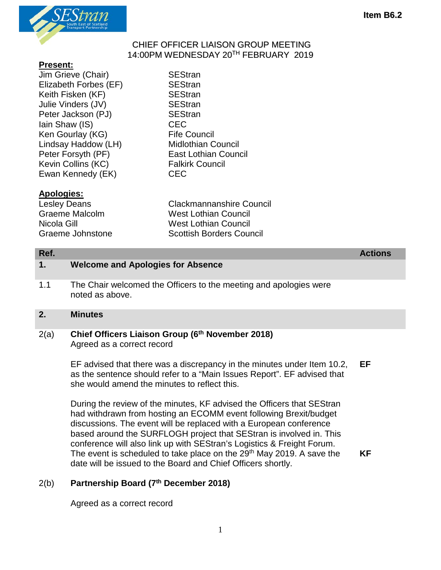

#### CHIEF OFFICER LIAISON GROUP MEETING 14:00PM WEDNESDAY 20TH FEBRUARY 2019

### **Present:**

- Jim Grieve (Chair) SEStran Elizabeth Forbes (EF) SEStran Keith Fisken (KF) SEStran Julie Vinders (JV) SEStran Peter Jackson (PJ) SEStran Iain Shaw (IS) CEC Ken Gourlay (KG) Fife Council Lindsay Haddow (LH) Midlothian Council Peter Forsyth (PF) East Lothian Council Kevin Collins (KC) Falkirk Council Ewan Kennedy (EK) CEC
	-

## **Apologies:**

Lesley Deans Clackmannanshire Council Graeme Malcolm West Lothian Council Nicola Gill West Lothian Council Graeme Johnstone Scottish Borders Council

**1. Welcome and Apologies for Absence** 

- 1.1 The Chair welcomed the Officers to the meeting and apologies were noted as above.
- **2. Minutes**

## 2(a) **Chief Officers Liaison Group (6th November 2018)** Agreed as a correct record

EF advised that there was a discrepancy in the minutes under Item 10.2, as the sentence should refer to a "Main Issues Report". EF advised that she would amend the minutes to reflect this. **EF**

During the review of the minutes, KF advised the Officers that SEStran had withdrawn from hosting an ECOMM event following Brexit/budget discussions. The event will be replaced with a European conference based around the SURFLOGH project that SEStran is involved in. This conference will also link up with SEStran's Logistics & Freight Forum. The event is scheduled to take place on the 29<sup>th</sup> May 2019. A save the date will be issued to the Board and Chief Officers shortly.

**KF**

# 2(b) **Partnership Board (7th December 2018)**

Agreed as a correct record

**Ref. Actions**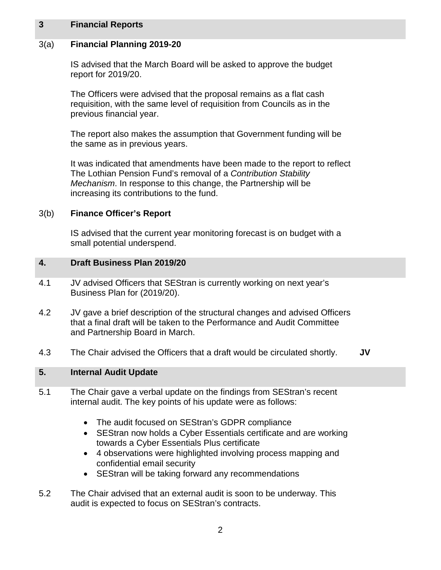### **3 Financial Reports**

### 3(a) **Financial Planning 2019-20**

IS advised that the March Board will be asked to approve the budget report for 2019/20.

The Officers were advised that the proposal remains as a flat cash requisition, with the same level of requisition from Councils as in the previous financial year.

The report also makes the assumption that Government funding will be the same as in previous years.

It was indicated that amendments have been made to the report to reflect The Lothian Pension Fund's removal of a *Contribution Stability Mechanism*. In response to this change, the Partnership will be increasing its contributions to the fund.

#### 3(b) **Finance Officer's Report**

IS advised that the current year monitoring forecast is on budget with a small potential underspend.

#### **4. Draft Business Plan 2019/20**

- 4.1 JV advised Officers that SEStran is currently working on next year's Business Plan for (2019/20).
- 4.2 JV gave a brief description of the structural changes and advised Officers that a final draft will be taken to the Performance and Audit Committee and Partnership Board in March.
- 4.3 The Chair advised the Officers that a draft would be circulated shortly. **JV**

#### **5. Internal Audit Update**

- 5.1 The Chair gave a verbal update on the findings from SEStran's recent internal audit. The key points of his update were as follows:
	- The audit focused on SEStran's GDPR compliance
	- SEStran now holds a Cyber Essentials certificate and are working towards a Cyber Essentials Plus certificate
	- 4 observations were highlighted involving process mapping and confidential email security
	- SEStran will be taking forward any recommendations
- 5.2 The Chair advised that an external audit is soon to be underway. This audit is expected to focus on SEStran's contracts.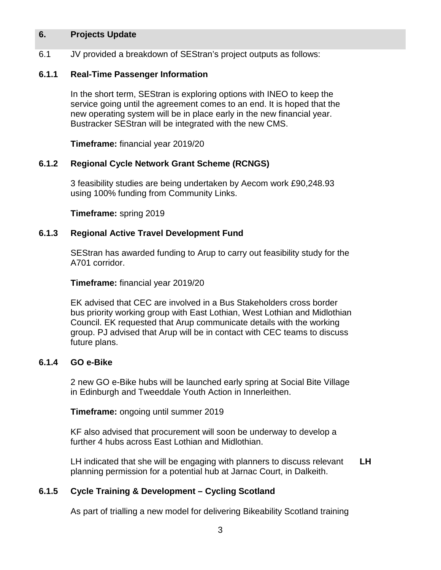### **6. Projects Update**

6.1 JV provided a breakdown of SEStran's project outputs as follows:

### **6.1.1 Real-Time Passenger Information**

In the short term, SEStran is exploring options with INEO to keep the service going until the agreement comes to an end. It is hoped that the new operating system will be in place early in the new financial year. Bustracker SEStran will be integrated with the new CMS.

**Timeframe:** financial year 2019/20

#### **6.1.2 Regional Cycle Network Grant Scheme (RCNGS)**

3 feasibility studies are being undertaken by Aecom work £90,248.93 using 100% funding from Community Links.

**Timeframe:** spring 2019

#### **6.1.3 Regional Active Travel Development Fund**

SEStran has awarded funding to Arup to carry out feasibility study for the A701 corridor.

**Timeframe:** financial year 2019/20

EK advised that CEC are involved in a Bus Stakeholders cross border bus priority working group with East Lothian, West Lothian and Midlothian Council. EK requested that Arup communicate details with the working group. PJ advised that Arup will be in contact with CEC teams to discuss future plans.

#### **6.1.4 GO e-Bike**

2 new GO e-Bike hubs will be launched early spring at Social Bite Village in Edinburgh and Tweeddale Youth Action in Innerleithen.

**Timeframe:** ongoing until summer 2019

KF also advised that procurement will soon be underway to develop a further 4 hubs across East Lothian and Midlothian.

LH indicated that she will be engaging with planners to discuss relevant planning permission for a potential hub at Jarnac Court, in Dalkeith. **LH**

## **6.1.5 Cycle Training & Development – Cycling Scotland**

As part of trialling a new model for delivering Bikeability Scotland training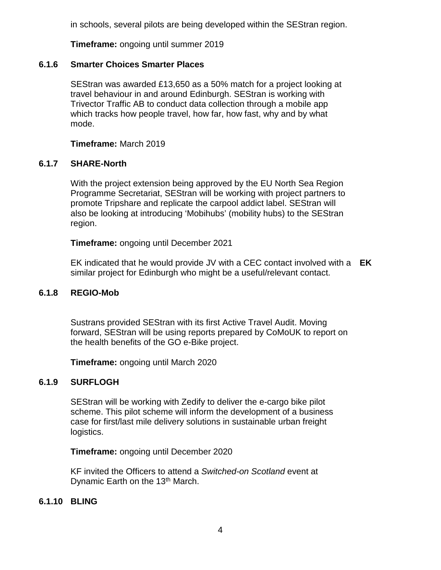in schools, several pilots are being developed within the SEStran region.

**Timeframe:** ongoing until summer 2019

## **6.1.6 Smarter Choices Smarter Places**

SEStran was awarded £13,650 as a 50% match for a project looking at travel behaviour in and around Edinburgh. SEStran is working with Trivector Traffic AB to conduct data collection through a mobile app which tracks how people travel, how far, how fast, why and by what mode.

**Timeframe:** March 2019

## **6.1.7 SHARE-North**

With the project extension being approved by the EU North Sea Region Programme Secretariat, SEStran will be working with project partners to promote Tripshare and replicate the carpool addict label. SEStran will also be looking at introducing 'Mobihubs' (mobility hubs) to the SEStran region.

**Timeframe:** ongoing until December 2021

EK indicated that he would provide JV with a CEC contact involved with a **EK** similar project for Edinburgh who might be a useful/relevant contact.

## **6.1.8 REGIO-Mob**

Sustrans provided SEStran with its first Active Travel Audit. Moving forward, SEStran will be using reports prepared by CoMoUK to report on the health benefits of the GO e-Bike project.

**Timeframe:** ongoing until March 2020

## **6.1.9 SURFLOGH**

SEStran will be working with Zedify to deliver the e-cargo bike pilot scheme. This pilot scheme will inform the development of a business case for first/last mile delivery solutions in sustainable urban freight logistics.

**Timeframe:** ongoing until December 2020

KF invited the Officers to attend a *Switched-on Scotland* event at Dynamic Earth on the 13<sup>th</sup> March.

## **6.1.10 BLING**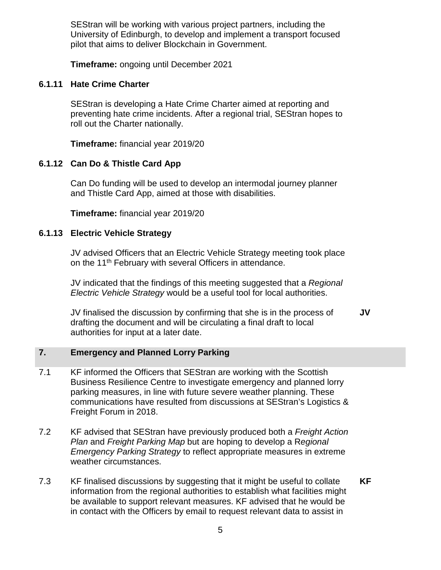SEStran will be working with various project partners, including the University of Edinburgh, to develop and implement a transport focused pilot that aims to deliver Blockchain in Government.

**Timeframe:** ongoing until December 2021

## **6.1.11 Hate Crime Charter**

SEStran is developing a Hate Crime Charter aimed at reporting and preventing hate crime incidents. After a regional trial, SEStran hopes to roll out the Charter nationally.

**Timeframe:** financial year 2019/20

# **6.1.12 Can Do & Thistle Card App**

Can Do funding will be used to develop an intermodal journey planner and Thistle Card App, aimed at those with disabilities.

**Timeframe:** financial year 2019/20

# **6.1.13 Electric Vehicle Strategy**

JV advised Officers that an Electric Vehicle Strategy meeting took place on the 11<sup>th</sup> February with several Officers in attendance.

JV indicated that the findings of this meeting suggested that a *Regional Electric Vehicle Strategy* would be a useful tool for local authorities.

JV finalised the discussion by confirming that she is in the process of drafting the document and will be circulating a final draft to local authorities for input at a later date. **JV**

# **7. Emergency and Planned Lorry Parking**

- 7.1 KF informed the Officers that SEStran are working with the Scottish Business Resilience Centre to investigate emergency and planned lorry parking measures, in line with future severe weather planning. These communications have resulted from discussions at SEStran's Logistics & Freight Forum in 2018.
- 7.2 KF advised that SEStran have previously produced both a *Freight Action Plan* and *Freight Parking Map* but are hoping to develop a R*egional Emergency Parking Strategy* to reflect appropriate measures in extreme weather circumstances.
- 7.3 KF finalised discussions by suggesting that it might be useful to collate information from the regional authorities to establish what facilities might be available to support relevant measures. KF advised that he would be in contact with the Officers by email to request relevant data to assist in **KF**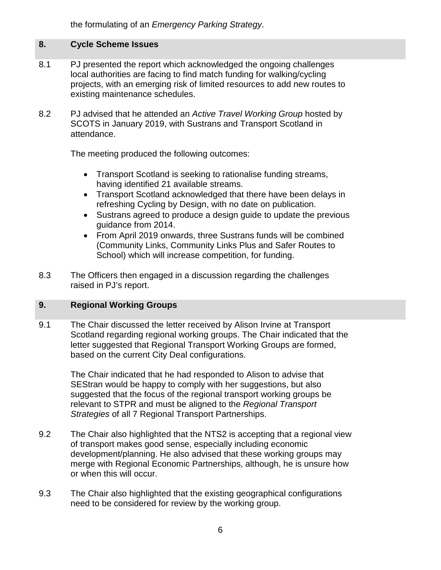the formulating of an *Emergency Parking Strategy*.

# **8. Cycle Scheme Issues**

- 8.1 PJ presented the report which acknowledged the ongoing challenges local authorities are facing to find match funding for walking/cycling projects, with an emerging risk of limited resources to add new routes to existing maintenance schedules.
- 8.2 PJ advised that he attended an *Active Travel Working Group* hosted by SCOTS in January 2019, with Sustrans and Transport Scotland in attendance.

The meeting produced the following outcomes:

- Transport Scotland is seeking to rationalise funding streams, having identified 21 available streams.
- Transport Scotland acknowledged that there have been delays in refreshing Cycling by Design, with no date on publication.
- Sustrans agreed to produce a design quide to update the previous guidance from 2014.
- From April 2019 onwards, three Sustrans funds will be combined (Community Links, Community Links Plus and Safer Routes to School) which will increase competition, for funding.
- 8.3 The Officers then engaged in a discussion regarding the challenges raised in PJ's report.

## **9. Regional Working Groups**

9.1 The Chair discussed the letter received by Alison Irvine at Transport Scotland regarding regional working groups. The Chair indicated that the letter suggested that Regional Transport Working Groups are formed, based on the current City Deal configurations.

> The Chair indicated that he had responded to Alison to advise that SEStran would be happy to comply with her suggestions, but also suggested that the focus of the regional transport working groups be relevant to STPR and must be aligned to the *Regional Transport Strategies* of all 7 Regional Transport Partnerships.

- 9.2 The Chair also highlighted that the NTS2 is accepting that a regional view of transport makes good sense, especially including economic development/planning. He also advised that these working groups may merge with Regional Economic Partnerships, although, he is unsure how or when this will occur.
- 9.3 The Chair also highlighted that the existing geographical configurations need to be considered for review by the working group.